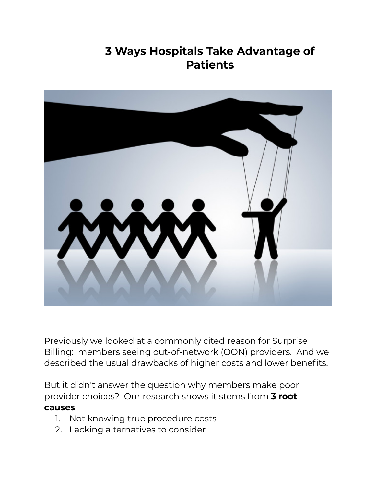## **3 Ways Hospitals Take Advantage of Patients**



Previously we looked at a commonly cited reason for Surprise Billing: members seeing out-of-network (OON) providers. And we described the usual drawbacks of higher costs and lower benefits.

But it didn't answer the question why members make poor provider choices? Our research shows it stems from **3 root causes**.

- 1. Not knowing true procedure costs
- 2. Lacking alternatives to consider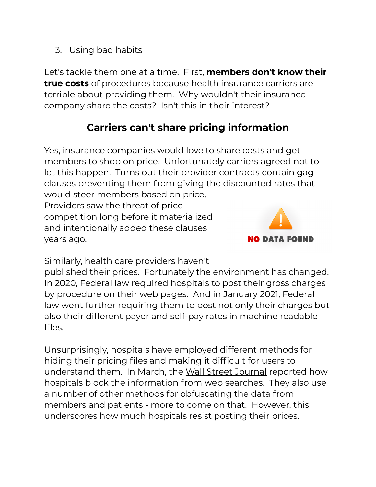3. Using bad habits

Let's tackle them one at a time. First, **members don't know their true costs** of procedures because health insurance carriers are terrible about providing them. Why wouldn't their insurance company share the costs? Isn't this in their interest?

## **Carriers can't share pricing information**

Yes, insurance companies would love to share costs and get members to shop on price. Unfortunately carriers agreed not to let this happen. Turns out their provider contracts contain gag clauses preventing them from giving the discounted rates that would steer members based on price.

Providers saw the threat of price competition long before it materialized and intentionally added these clauses years ago.



Similarly, health care providers haven't

published their prices. Fortunately the environment has changed. In 2020, Federal law required hospitals to post their gross charges by procedure on their web pages. And in January 2021, Federal law went further requiring them to post not only their charges but also their different payer and self-pay rates in machine readable files.

Unsurprisingly, hospitals have employed different methods for hiding their pricing files and making it difficult for users to understand them. In March, the [Wall Street Journal](https://www.wsj.com/articles/hospitals-hide-pricing-data-from-search-results-11616405402?st=t61t8za9eykhd2i&reflink=desktopwebshare_permalink) reported how hospitals block the information from web searches. They also use a number of other methods for obfuscating the data from members and patients - more to come on that. However, this underscores how much hospitals resist posting their prices.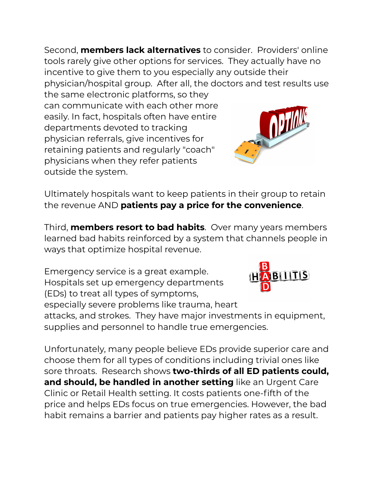Second, **members lack alternatives** to consider. Providers' online tools rarely give other options for services. They actually have no incentive to give them to you especially any outside their physician/hospital group. After all, the doctors and test results use

the same electronic platforms, so they can communicate with each other more easily. In fact, hospitals often have entire departments devoted to tracking physician referrals, give incentives for retaining patients and regularly "coach" physicians when they refer patients outside the system.



Ultimately hospitals want to keep patients in their group to retain the revenue AND **patients pay a price for the convenience**.

Third, **members resort to bad habits**. Over many years members learned bad habits reinforced by a system that channels people in ways that optimize hospital revenue.

Emergency service is a great example. Hospitals set up emergency departments (EDs) to treat all types of symptoms,

especially severe problems like trauma, heart



attacks, and strokes. They have major investments in equipment, supplies and personnel to handle true emergencies.

Unfortunately, many people believe EDs provide superior care and choose them for all types of conditions including trivial ones like sore throats. Research shows **two-thirds of all ED patients could, and should, be handled in another setting** like an Urgent Care Clinic or Retail Health setting. It costs patients one-fifth of the price and helps EDs focus on true emergencies. However, the bad habit remains a barrier and patients pay higher rates as a result.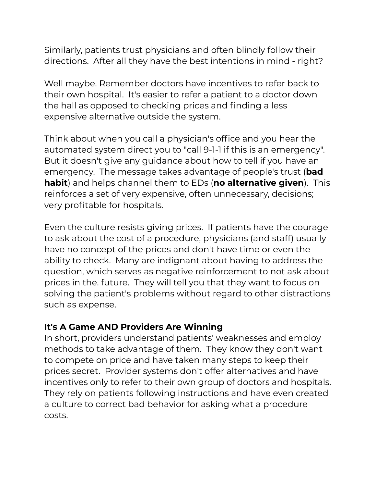Similarly, patients trust physicians and often blindly follow their directions. After all they have the best intentions in mind - right?

Well maybe. Remember doctors have incentives to refer back to their own hospital. It's easier to refer a patient to a doctor down the hall as opposed to checking prices and finding a less expensive alternative outside the system.

Think about when you call a physician's office and you hear the automated system direct you to "call 9-1-1 if this is an emergency". But it doesn't give any guidance about how to tell if you have an emergency. The message takes advantage of people's trust (**bad habit**) and helps channel them to EDs (**no alternative given**). This reinforces a set of very expensive, often unnecessary, decisions; very profitable for hospitals.

Even the culture resists giving prices. If patients have the courage to ask about the cost of a procedure, physicians (and staff) usually have no concept of the prices and don't have time or even the ability to check. Many are indignant about having to address the question, which serves as negative reinforcement to not ask about prices in the. future. They will tell you that they want to focus on solving the patient's problems without regard to other distractions such as expense.

## **It's A Game AND Providers Are Winning**

In short, providers understand patients' weaknesses and employ methods to take advantage of them. They know they don't want to compete on price and have taken many steps to keep their prices secret. Provider systems don't offer alternatives and have incentives only to refer to their own group of doctors and hospitals. They rely on patients following instructions and have even created a culture to correct bad behavior for asking what a procedure costs.